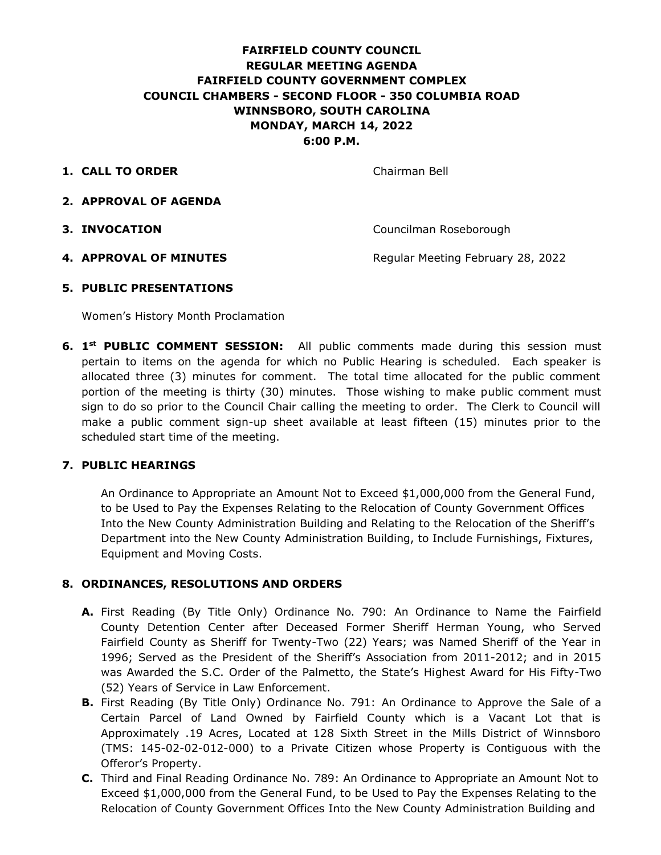# **FAIRFIELD COUNTY COUNCIL REGULAR MEETING AGENDA FAIRFIELD COUNTY GOVERNMENT COMPLEX COUNCIL CHAMBERS - SECOND FLOOR - 350 COLUMBIA ROAD WINNSBORO, SOUTH CAROLINA MONDAY, MARCH 14, 2022 6:00 P.M.**

**1. CALL TO ORDER** Chairman Bell

- **2. APPROVAL OF AGENDA**
- 

**3. INVOCATION** Councilman Roseborough

**4. APPROVAL OF MINUTES** Regular Meeting February 28, 2022

### **5. PUBLIC PRESENTATIONS**

Women's History Month Proclamation

**6. 1<sup>st</sup> PUBLIC COMMENT SESSION:** All public comments made during this session must pertain to items on the agenda for which no Public Hearing is scheduled. Each speaker is allocated three (3) minutes for comment. The total time allocated for the public comment portion of the meeting is thirty (30) minutes. Those wishing to make public comment must sign to do so prior to the Council Chair calling the meeting to order. The Clerk to Council will make a public comment sign-up sheet available at least fifteen (15) minutes prior to the scheduled start time of the meeting.

# **7. PUBLIC HEARINGS**

An Ordinance to Appropriate an Amount Not to Exceed \$1,000,000 from the General Fund, to be Used to Pay the Expenses Relating to the Relocation of County Government Offices Into the New County Administration Building and Relating to the Relocation of the Sheriff's Department into the New County Administration Building, to Include Furnishings, Fixtures, Equipment and Moving Costs.

# **8. ORDINANCES, RESOLUTIONS AND ORDERS**

- **A.** First Reading (By Title Only) Ordinance No. 790: An Ordinance to Name the Fairfield County Detention Center after Deceased Former Sheriff Herman Young, who Served Fairfield County as Sheriff for Twenty-Two (22) Years; was Named Sheriff of the Year in 1996; Served as the President of the Sheriff's Association from 2011-2012; and in 2015 was Awarded the S.C. Order of the Palmetto, the State's Highest Award for His Fifty-Two (52) Years of Service in Law Enforcement.
- **B.** First Reading (By Title Only) Ordinance No. 791: An Ordinance to Approve the Sale of a Certain Parcel of Land Owned by Fairfield County which is a Vacant Lot that is Approximately .19 Acres, Located at 128 Sixth Street in the Mills District of Winnsboro (TMS: 145-02-02-012-000) to a Private Citizen whose Property is Contiguous with the Offeror's Property.
- **C.** Third and Final Reading Ordinance No. 789: An Ordinance to Appropriate an Amount Not to Exceed \$1,000,000 from the General Fund, to be Used to Pay the Expenses Relating to the Relocation of County Government Offices Into the New County Administration Building and